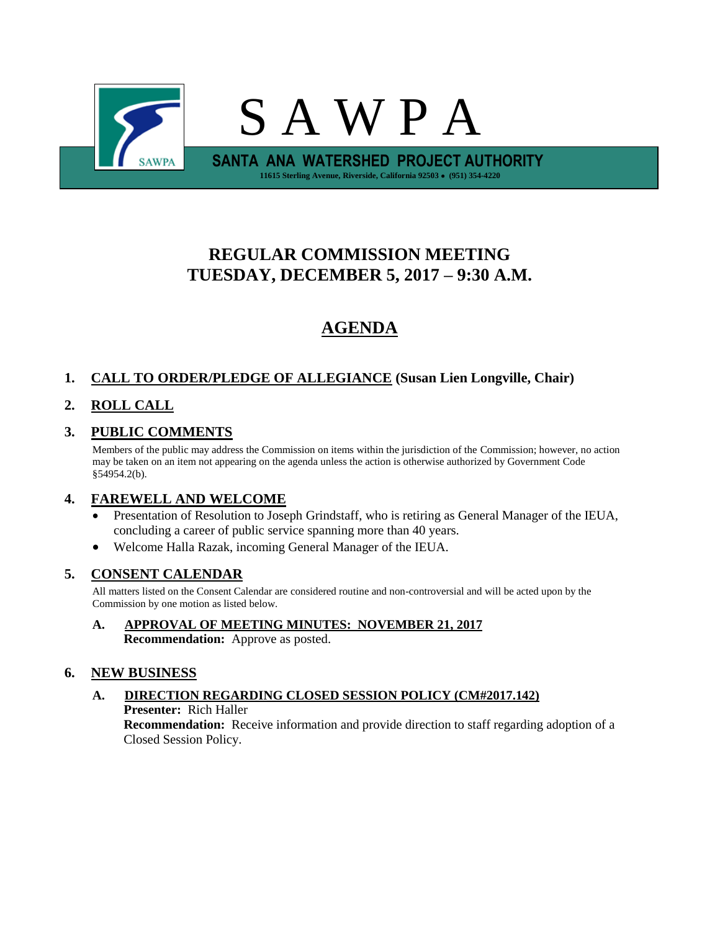

# **REGULAR COMMISSION MEETING TUESDAY, DECEMBER 5, 2017 – 9:30 A.M.**

# **AGENDA**

# **1. CALL TO ORDER/PLEDGE OF ALLEGIANCE (Susan Lien Longville, Chair)**

## **2. ROLL CALL**

## **3. PUBLIC COMMENTS**

Members of the public may address the Commission on items within the jurisdiction of the Commission; however, no action may be taken on an item not appearing on the agenda unless the action is otherwise authorized by Government Code §54954.2(b).

### **4. FAREWELL AND WELCOME**

- Presentation of Resolution to Joseph Grindstaff, who is retiring as General Manager of the IEUA, concluding a career of public service spanning more than 40 years.
- Welcome Halla Razak, incoming General Manager of the IEUA.

### **5. CONSENT CALENDAR**

All matters listed on the Consent Calendar are considered routine and non-controversial and will be acted upon by the Commission by one motion as listed below.

**A. APPROVAL OF MEETING MINUTES: NOVEMBER 21, 2017 Recommendation:** Approve as posted.

### **6. NEW BUSINESS**

### **A. DIRECTION REGARDING CLOSED SESSION POLICY (CM#2017.142) Presenter:** Rich Haller **Recommendation:** Receive information and provide direction to staff regarding adoption of a Closed Session Policy.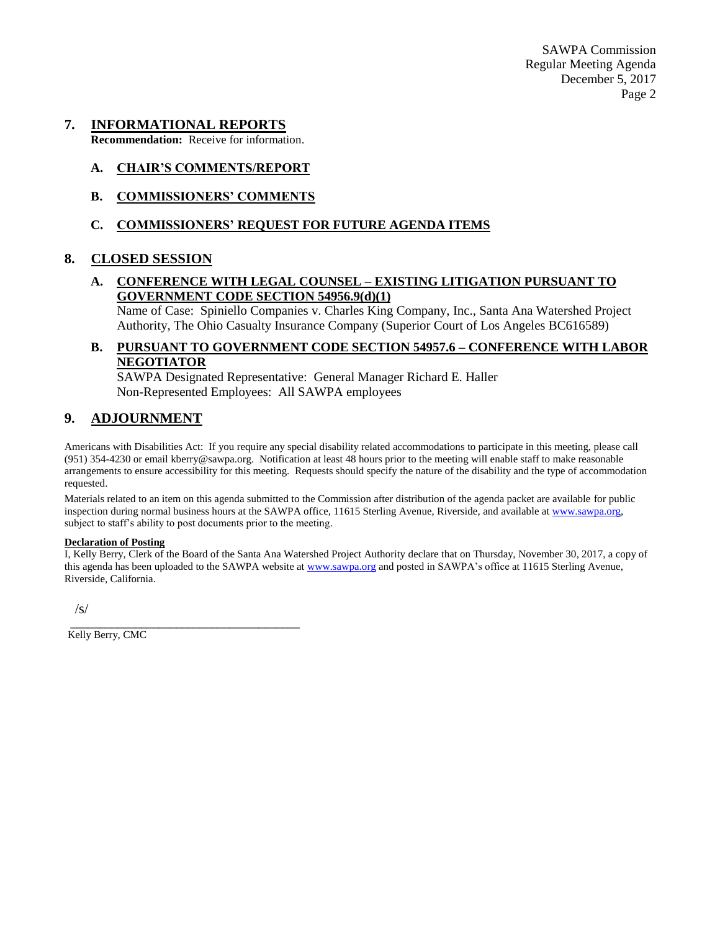SAWPA Commission Regular Meeting Agenda December 5, 2017 Page 2

### **7. INFORMATIONAL REPORTS**

**Recommendation:** Receive for information.

#### **A. CHAIR'S COMMENTS/REPORT**

**B. COMMISSIONERS' COMMENTS**

#### **C. COMMISSIONERS' REQUEST FOR FUTURE AGENDA ITEMS**

#### **8. CLOSED SESSION**

### **A. CONFERENCE WITH LEGAL COUNSEL – EXISTING LITIGATION PURSUANT TO GOVERNMENT CODE SECTION 54956.9(d)(1)**

Name of Case: Spiniello Companies v. Charles King Company, Inc., Santa Ana Watershed Project Authority, The Ohio Casualty Insurance Company (Superior Court of Los Angeles BC616589)

#### **B. PURSUANT TO GOVERNMENT CODE SECTION 54957.6 – CONFERENCE WITH LABOR NEGOTIATOR**

SAWPA Designated Representative: General Manager Richard E. Haller Non-Represented Employees: All SAWPA employees

### **9. ADJOURNMENT**

Americans with Disabilities Act: If you require any special disability related accommodations to participate in this meeting, please call (951) 354-4230 or email kberry@sawpa.org. Notification at least 48 hours prior to the meeting will enable staff to make reasonable arrangements to ensure accessibility for this meeting. Requests should specify the nature of the disability and the type of accommodation requested.

Materials related to an item on this agenda submitted to the Commission after distribution of the agenda packet are available for public inspection during normal business hours at the SAWPA office, 11615 Sterling Avenue, Riverside, and available a[t www.sawpa.org,](http://www.sawpa.org/) subject to staff's ability to post documents prior to the meeting.

#### **Declaration of Posting**

I, Kelly Berry, Clerk of the Board of the Santa Ana Watershed Project Authority declare that on Thursday, November 30, 2017, a copy of this agenda has been uploaded to the SAWPA website at [www.sawpa.org](http://www.sawpa.org/) and posted in SAWPA's office at 11615 Sterling Avenue, Riverside, California.

/s/

Kelly Berry, CMC

\_\_\_\_\_\_\_\_\_\_\_\_\_\_\_\_\_\_\_\_\_\_\_\_\_\_\_\_\_\_\_\_\_\_\_\_\_\_\_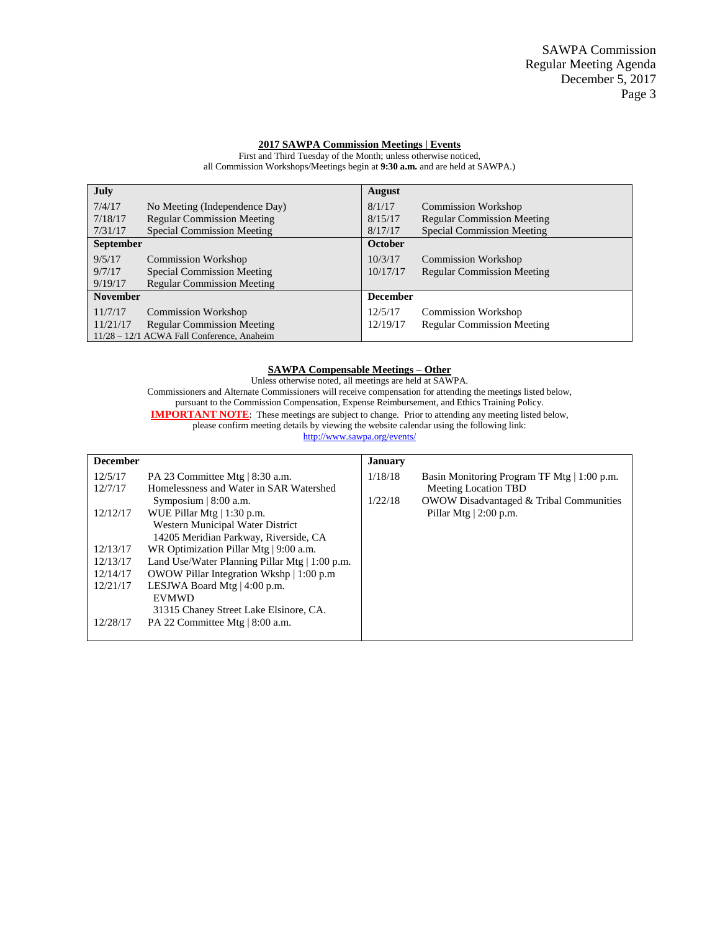#### **2017 SAWPA Commission Meetings | Events**

**July** 7/4/17 No Meeting (Independence Day) 7/18/17 Regular Commission Meeting 7/31/17 Special Commission Meeting **August** 8/1/17 Commission Workshop 8/15/17 Regular Commission Meeting 8/17/17 Special Commission Meeting **September** 9/5/17 Commission Workshop<br>9/7/17 Special Commission Me 9/7/17 Special Commission Meeting<br>9/19/17 Regular Commission Meeting Regular Commission Meeting **October** 10/3/17 Commission Workshop 10/17/17 Regular Commission Meeting **November** 11/7/17 Commission Workshop 11/21/17 Regular Commission Meeting 11/28 – 12/1 ACWA Fall Conference, Anaheim **December** 12/5/17 Commission Workshop 12/19/17 Regular Commission Meeting

First and Third Tuesday of the Month; unless otherwise noticed, all Commission Workshops/Meetings begin at **9:30 a.m.** and are held at SAWPA.)

#### **SAWPA Compensable Meetings – Other**

Unless otherwise noted, all meetings are held at SAWPA. Commissioners and Alternate Commissioners will receive compensation for attending the meetings listed below, pursuant to the Commission Compensation, Expense Reimbursement, and Ethics Training Policy. **IMPORTANT NOTE:** These meetings are subject to change. Prior to attending any meeting listed below, please confirm meeting details by viewing the website calendar using the following link: <http://www.sawpa.org/events/>

| <b>December</b> |                                                     | <b>January</b> |                                                    |
|-----------------|-----------------------------------------------------|----------------|----------------------------------------------------|
| 12/5/17         | PA 23 Committee Mtg $ 8:30$ a.m.                    | 1/18/18        | Basin Monitoring Program TF Mtg   1:00 p.m.        |
| 12/7/17         | Homelessness and Water in SAR Watershed             |                | <b>Meeting Location TBD</b>                        |
|                 | Symposium $ 8:00$ a.m.                              | 1/22/18        | <b>OWOW Disadvantaged &amp; Tribal Communities</b> |
| 12/12/17        | WUE Pillar Mtg $  1:30$ p.m.                        |                | Pillar Mtg $ 2:00$ p.m.                            |
|                 | Western Municipal Water District                    |                |                                                    |
|                 | 14205 Meridian Parkway, Riverside, CA               |                |                                                    |
| 12/13/17        | WR Optimization Pillar Mtg   9:00 a.m.              |                |                                                    |
| 12/13/17        | Land Use/Water Planning Pillar Mtg $\mid$ 1:00 p.m. |                |                                                    |
| 12/14/17        | OWOW Pillar Integration Wkshp   1:00 p.m            |                |                                                    |
| 12/21/17        | LESJWA Board Mtg $ 4:00 \text{ p.m.} $              |                |                                                    |
|                 | <b>EVMWD</b>                                        |                |                                                    |
|                 | 31315 Chaney Street Lake Elsinore, CA.              |                |                                                    |
| 12/28/17        | PA 22 Committee Mtg   8:00 a.m.                     |                |                                                    |
|                 |                                                     |                |                                                    |